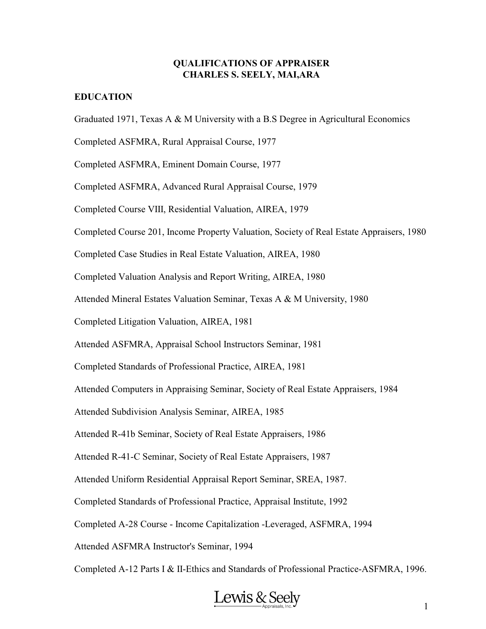### **QUALIFICATIONS OF APPRAISER CHARLES S. SEELY, MAI,ARA**

### **EDUCATION**

Graduated 1971, Texas A  $\&$  M University with a B.S Degree in Agricultural Economics

Completed ASFMRA, Rural Appraisal Course, 1977

Completed ASFMRA, Eminent Domain Course, 1977

Completed ASFMRA, Advanced Rural Appraisal Course, 1979

Completed Course VIII, Residential Valuation, AIREA, 1979

Completed Course 201, Income Property Valuation, Society of Real Estate Appraisers, 1980

Completed Case Studies in Real Estate Valuation, AIREA, 1980

Completed Valuation Analysis and Report Writing, AIREA, 1980

Attended Mineral Estates Valuation Seminar, Texas A & M University, 1980

Completed Litigation Valuation, AIREA, 1981

Attended ASFMRA, Appraisal School Instructors Seminar, 1981

Completed Standards of Professional Practice, AIREA, 1981

Attended Computers in Appraising Seminar, Society of Real Estate Appraisers, 1984

Attended Subdivision Analysis Seminar, AIREA, 1985

Attended R-41b Seminar, Society of Real Estate Appraisers, 1986

Attended R-41-C Seminar, Society of Real Estate Appraisers, 1987

Attended Uniform Residential Appraisal Report Seminar, SREA, 1987.

Completed Standards of Professional Practice, Appraisal Institute, 1992

Completed A-28 Course - Income Capitalization -Leveraged, ASFMRA, 1994

Attended ASFMRA Instructor's Seminar, 1994

Completed A-12 Parts I & II-Ethics and Standards of Professional Practice-ASFMRA, 1996.

# Lewis & Seely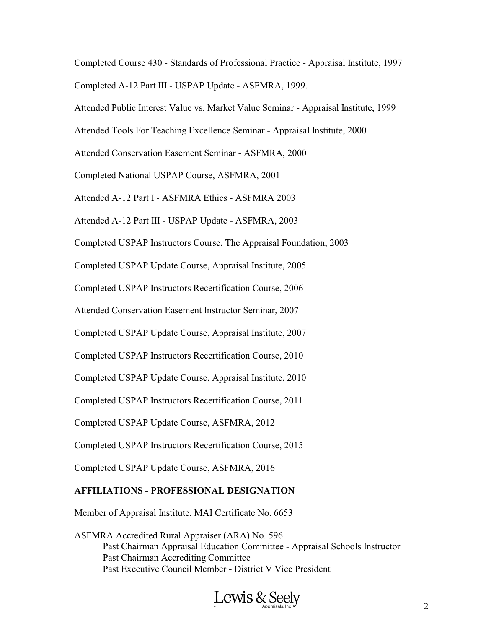Completed Course 430 - Standards of Professional Practice - Appraisal Institute, 1997 Completed A-12 Part III - USPAP Update - ASFMRA, 1999.

Attended Public Interest Value vs. Market Value Seminar - Appraisal Institute, 1999

Attended Tools For Teaching Excellence Seminar - Appraisal Institute, 2000

Attended Conservation Easement Seminar - ASFMRA, 2000

Completed National USPAP Course, ASFMRA, 2001

Attended A-12 Part I - ASFMRA Ethics - ASFMRA 2003

Attended A-12 Part III - USPAP Update - ASFMRA, 2003

Completed USPAP Instructors Course, The Appraisal Foundation, 2003

Completed USPAP Update Course, Appraisal Institute, 2005

Completed USPAP Instructors Recertification Course, 2006

Attended Conservation Easement Instructor Seminar, 2007

Completed USPAP Update Course, Appraisal Institute, 2007

Completed USPAP Instructors Recertification Course, 2010

Completed USPAP Update Course, Appraisal Institute, 2010

Completed USPAP Instructors Recertification Course, 2011

Completed USPAP Update Course, ASFMRA, 2012

Completed USPAP Instructors Recertification Course, 2015

Completed USPAP Update Course, ASFMRA, 2016

#### **AFFILIATIONS - PROFESSIONAL DESIGNATION**

Member of Appraisal Institute, MAI Certificate No. 6653

ASFMRA Accredited Rural Appraiser (ARA) No. 596 Past Chairman Appraisal Education Committee - Appraisal Schools Instructor Past Chairman Accrediting Committee Past Executive Council Member - District V Vice President